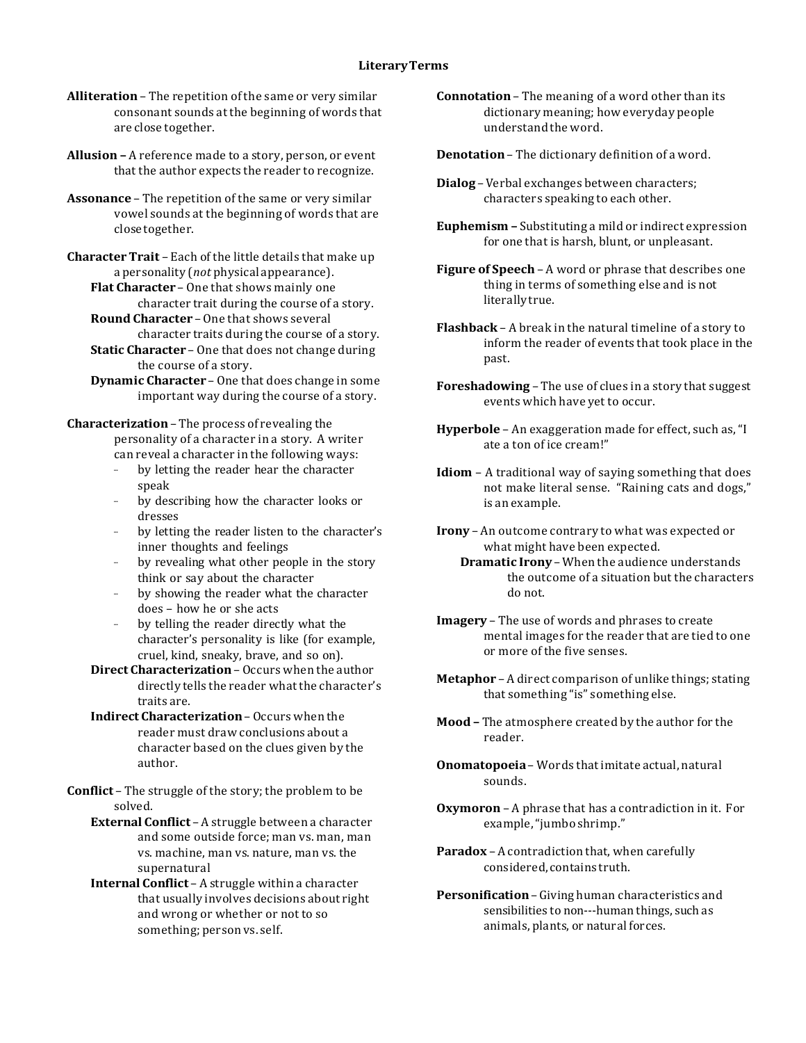- **Alliteration** The repetition of the same or very similar consonant sounds at the beginning of words that are close together.
- **Allusion –** A reference made to a story, person, or event that the author expects the reader to recognize.
- **Assonance** The repetition of the same or very similar vowel sounds at the beginning of words that are closetogether.

**CharacterTrait** – Each of the little details that make up a personality (*not* physical appearance).

**Flat Character** – One that shows mainly one character trait during the course of a story. **Round Character** – One that shows several

character traits during the course of a story. **Static Character** – One that does not change during

- the course of a story. **Dynamic Character** – One that does change in some
- important way during the course of a story.

**Characterization** – The process of revealing the personality of a character in a story. A writer can reveal a character in the following ways:

- by letting the reader hear the character speak
- by describing how the character looks or dresses
- by letting the reader listen to the character's inner thoughts and feelings
- by revealing what other people in the story think or say about the character
- by showing the reader what the character does – how he or she acts
- by telling the reader directly what the character's personality is like (for example, cruel, kind, sneaky, brave, and so on).

**Direct Characterization** – Occurs when the author directly tells the reader what the character's traits are.

**Indirect Characterization**– Occurs when the reader must draw conclusions about a character based on the clues given by the author.

**Conflict** – The struggle of the story; the problem to be solved.

**External Conflict** – A struggle between a character and some outside force; man vs. man, man vs. machine, man vs. nature, man vs. the supernatural

**Internal Conflict** – A struggle within a character that usually involves decisions about right and wrong or whether or not to so something; person vs. self.

**Connotation** – The meaning of a word other than its dictionary meaning; how everyday people understand the word.

**Denotation** – The dictionary definition of a word.

- **Dialog** –Verbal exchanges between characters; characters speaking to each other.
- **Euphemism –** Substituting a mild or indirect expression for one that is harsh, blunt, or unpleasant.

**Figure of Speech** – A word or phrase that describes one thing in terms of something else and is not literallytrue.

- **Flashback** A break in the natural timeline of a story to inform the reader of events that took place in the past.
- **Foreshadowing** The use of clues in a story that suggest events which have yet to occur.
- **Hyperbole** An exaggeration made for effect, such as, "I ate a ton of ice cream!"
- **Idiom** A traditional way of saying something that does not make literal sense. "Raining cats and dogs," is an example.
- **Irony** An outcome contrary to what was expected or what might have been expected.

**Dramatic Irony** – When the audience understands the outcome of a situation but the characters do not.

**Imagery** – The use of words and phrases to create mental images for the reader that are tied to one or more of the five senses.

**Metaphor** – A direct comparison of unlike things; stating that something "is" something else.

- **Mood –** The atmosphere created by the author for the reader.
- **Onomatopoeia** Words that imitate actual, natural sounds.

**Oxymoron** – A phrase that has a contradiction in it. For example, "jumbo shrimp."

- **Paradox** A contradiction that, when carefully considered, contains truth.
- **Personification**–Giving human characteristics and sensibilities to non---human things, such as animals, plants, or natural forces.